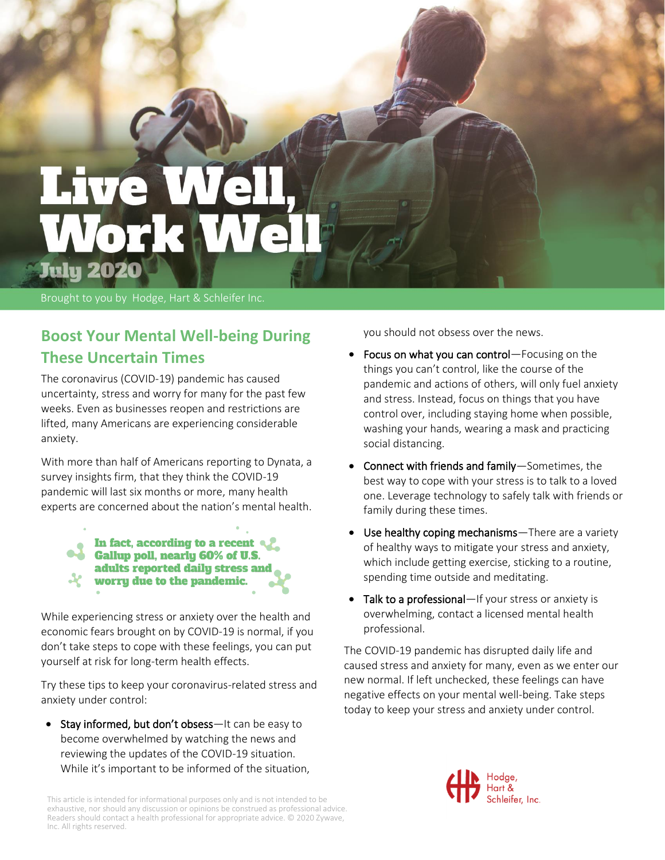# **Live W** Work W **July 2020**

Brought to you by Hodge, Hart & Schleifer Inc.

## **Boost Your Mental Well-being During These Uncertain Times**

The coronavirus (COVID-19) pandemic has caused uncertainty, stress and worry for many for the past few weeks. Even as businesses reopen and restrictions are lifted, many Americans are experiencing considerable anxiety.

With more than half of Americans reporting to Dynata, a survey insights firm, that they think the COVID-19 pandemic will last six months or more, many health experts are concerned about the nation's mental health.

> In fact, according to a recent Gallup poll, nearly 60% of U.S. adults reported daily stress and worry due to the pandemic.

While experiencing stress or anxiety over the health and economic fears brought on by COVID-19 is normal, if you don't take steps to cope with these feelings, you can put yourself at risk for long-term health effects.

Try these tips to keep your coronavirus-related stress and anxiety under control:

• Stay informed, but don't obsess—It can be easy to become overwhelmed by watching the news and reviewing the updates of the COVID-19 situation. While it's important to be informed of the situation, you should not obsess over the news.

- Focus on what you can control—Focusing on the things you can't control, like the course of the pandemic and actions of others, will only fuel anxiety and stress. Instead, focus on things that you have control over, including staying home when possible, washing your hands, wearing a mask and practicing social distancing.
- Connect with friends and family—Sometimes, the best way to cope with your stress is to talk to a loved one. Leverage technology to safely talk with friends or family during these times.
- Use healthy coping mechanisms—There are a variety of healthy ways to mitigate your stress and anxiety, which include getting exercise, sticking to a routine, spending time outside and meditating.
- Talk to a professional—If your stress or anxiety is overwhelming, contact a licensed mental health professional.

The COVID-19 pandemic has disrupted daily life and caused stress and anxiety for many, even as we enter our new normal. If left unchecked, these feelings can have negative effects on your mental well-being. Take steps today to keep your stress and anxiety under control.



This article is intended for informational purposes only and is not intended to be exhaustive, nor should any discussion or opinions be construed as professional advice. Readers should contact a health professional for appropriate advice. © 2020 Zywave, Inc. All rights reserved.